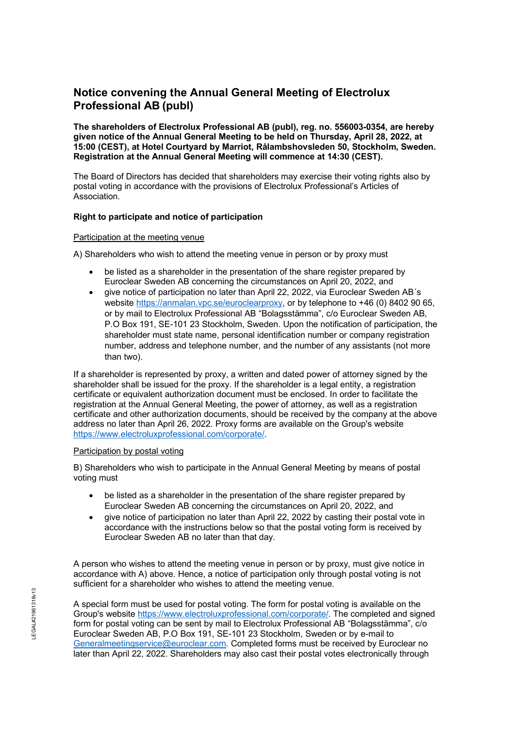# **Notice convening the Annual General Meeting of Electrolux Professional AB (publ)**

**The shareholders of Electrolux Professional AB (publ), reg. no. 556003-0354, are hereby given notice of the Annual General Meeting to be held on Thursday, April 28, 2022, at 15:00 (CEST), at Hotel Courtyard by Marriot, Rålambshovsleden 50, Stockholm, Sweden. Registration at the Annual General Meeting will commence at 14:30 (CEST).**

The Board of Directors has decided that shareholders may exercise their voting rights also by postal voting in accordance with the provisions of Electrolux Professional's Articles of Association.

# **Right to participate and notice of participation**

#### Participation at the meeting venue

A) Shareholders who wish to attend the meeting venue in person or by proxy must

- be listed as a shareholder in the presentation of the share register prepared by Euroclear Sweden AB concerning the circumstances on April 20, 2022, and
- give notice of participation no later than April 22, 2022, via Euroclear Sweden AB´s website [https://anmalan.vpc.se/euroclearproxy,](https://anmalan.vpc.se/euroclearproxy) or by telephone to +46 (0) 8402 90 65, or by mail to Electrolux Professional AB "Bolagsstämma", c/o Euroclear Sweden AB, P.O Box 191, SE-101 23 Stockholm, Sweden. Upon the notification of participation, the shareholder must state name, personal identification number or company registration number, address and telephone number, and the number of any assistants (not more than two).

If a shareholder is represented by proxy, a written and dated power of attorney signed by the shareholder shall be issued for the proxy. If the shareholder is a legal entity, a registration certificate or equivalent authorization document must be enclosed. In order to facilitate the registration at the Annual General Meeting, the power of attorney, as well as a registration certificate and other authorization documents, should be received by the company at the above address no later than April 26, 2022. Proxy forms are available on the Group's website [https://www.electroluxprofessional.com/corporate/.](https://www.electroluxprofessional.com/corporate/)

#### Participation by postal voting

B) Shareholders who wish to participate in the Annual General Meeting by means of postal voting must

- be listed as a shareholder in the presentation of the share register prepared by Euroclear Sweden AB concerning the circumstances on April 20, 2022, and
- give notice of participation no later than April 22, 2022 by casting their postal vote in accordance with the instructions below so that the postal voting form is received by Euroclear Sweden AB no later than that day.

A person who wishes to attend the meeting venue in person or by proxy, must give notice in accordance with A) above. Hence, a notice of participation only through postal voting is not sufficient for a shareholder who wishes to attend the meeting venue.

A special form must be used for postal voting. The form for postal voting is available on the Group's website [https://www.electroluxprofessional.com/corporate/.](https://www.electroluxprofessional.com/corporate/) The completed and signed form for postal voting can be sent by mail to Electrolux Professional AB "Bolagsstämma", c/o Euroclear Sweden AB, P.O Box 191, SE-101 23 Stockholm, Sweden or by e-mail to [Generalmeetingservice@euroclear.com.](mailto:Generalmeetingservice@euroclear.com) Completed forms must be received by Euroclear no later than April 22, 2022. Shareholders may also cast their postal votes electronically through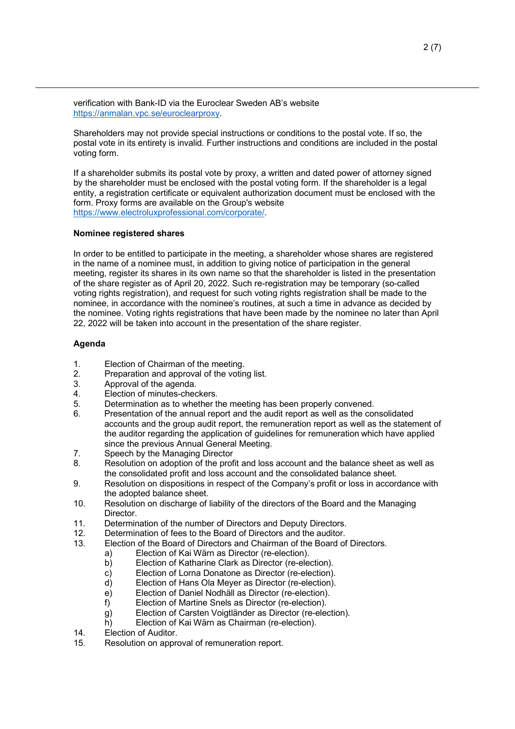verification with Bank-ID via the Euroclear Sweden AB's website [https://anmalan.vpc.se/euroclearproxy.](https://anmalan.vpc.se/euroclearproxy)

Shareholders may not provide special instructions or conditions to the postal vote. If so, the postal vote in its entirety is invalid. Further instructions and conditions are included in the postal voting form.

If a shareholder submits its postal vote by proxy, a written and dated power of attorney signed by the shareholder must be enclosed with the postal voting form. If the shareholder is a legal entity, a registration certificate or equivalent authorization document must be enclosed with the form. Proxy forms are available on the Group's website [https://www.electroluxprofessional.com/corporate/.](https://www.electroluxprofessional.com/corporate/)

# **Nominee registered shares**

In order to be entitled to participate in the meeting, a shareholder whose shares are registered in the name of a nominee must, in addition to giving notice of participation in the general meeting, register its shares in its own name so that the shareholder is listed in the presentation of the share register as of April 20, 2022. Such re-registration may be temporary (so-called voting rights registration), and request for such voting rights registration shall be made to the nominee, in accordance with the nominee's routines, at such a time in advance as decided by the nominee. Voting rights registrations that have been made by the nominee no later than April 22, 2022 will be taken into account in the presentation of the share register.

# **Agenda**

- 1. Election of Chairman of the meeting.<br>2. Preparation and approval of the votin
- Preparation and approval of the voting list.
- 3. Approval of the agenda.<br>4. Election of minutes-chec
- Election of minutes-checkers.
- 5. Determination as to whether the meeting has been properly convened.<br>6 Presentation of the annual report and the audit report as well as the com-
- Presentation of the annual report and the audit report as well as the consolidated accounts and the group audit report, the remuneration report as well as the statement of the auditor regarding the application of guidelines for remuneration which have applied since the previous Annual General Meeting.
- 7. Speech by the Managing Director
- 8. Resolution on adoption of the profit and loss account and the balance sheet as well as the consolidated profit and loss account and the consolidated balance sheet.
- 9. Resolution on dispositions in respect of the Company's profit or loss in accordance with the adopted balance sheet.
- 10. Resolution on discharge of liability of the directors of the Board and the Managing Director.
- 11. Determination of the number of Directors and Deputy Directors.<br>12. Determination of fees to the Board of Directors and the auditor
- Determination of fees to the Board of Directors and the auditor.
- 13. Election of the Board of Directors and Chairman of the Board of Directors.
	- a) Election of Kai Wärn as Director (re-election).<br>b) Election of Katharine Clark as Director (re-ele
		- Election of Katharine Clark as Director (re-election).
		- c) Election of Lorna Donatone as Director (re-election).
		- d) Election of Hans Ola Meyer as Director (re-election).
		- e) Election of Daniel Nodhäll as Director (re-election).
		- f) Election of Martine Snels as Director (re-election).
		- g) Election of Carsten Voigtländer as Director (re-election).<br>h) Election of Kai Wärn as Chairman (re-election).
		- Election of Kai Wärn as Chairman (re-election).
- 14. Election of Auditor.
- 15. Resolution on approval of remuneration report.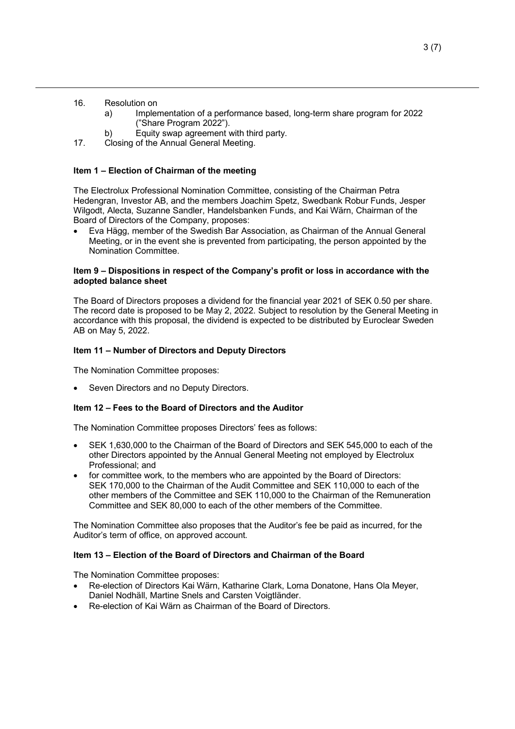- 16. Resolution on
	- a) Implementation of a performance based, long-term share program for 2022 ("Share Program 2022").
	- b) Equity swap agreement with third party.
- 17. Closing of the Annual General Meeting.

## **Item 1 – Election of Chairman of the meeting**

The Electrolux Professional Nomination Committee, consisting of the Chairman Petra Hedengran, Investor AB, and the members Joachim Spetz, Swedbank Robur Funds, Jesper Wilgodt, Alecta, Suzanne Sandler, Handelsbanken Funds, and Kai Wärn, Chairman of the Board of Directors of the Company, proposes:

• Eva Hägg, member of the Swedish Bar Association, as Chairman of the Annual General Meeting, or in the event she is prevented from participating, the person appointed by the Nomination Committee.

## **Item 9 – Dispositions in respect of the Company's profit or loss in accordance with the adopted balance sheet**

The Board of Directors proposes a dividend for the financial year 2021 of SEK 0.50 per share. The record date is proposed to be May 2, 2022. Subject to resolution by the General Meeting in accordance with this proposal, the dividend is expected to be distributed by Euroclear Sweden AB on May 5, 2022.

#### **Item 11 – Number of Directors and Deputy Directors**

The Nomination Committee proposes:

Seven Directors and no Deputy Directors.

#### **Item 12 – Fees to the Board of Directors and the Auditor**

The Nomination Committee proposes Directors' fees as follows:

- SEK 1,630,000 to the Chairman of the Board of Directors and SEK 545,000 to each of the other Directors appointed by the Annual General Meeting not employed by Electrolux Professional; and
- for committee work, to the members who are appointed by the Board of Directors: SEK 170,000 to the Chairman of the Audit Committee and SEK 110,000 to each of the other members of the Committee and SEK 110,000 to the Chairman of the Remuneration Committee and SEK 80,000 to each of the other members of the Committee.

The Nomination Committee also proposes that the Auditor's fee be paid as incurred, for the Auditor's term of office, on approved account.

## **Item 13 – Election of the Board of Directors and Chairman of the Board**

The Nomination Committee proposes:

- Re-election of Directors Kai Wärn, Katharine Clark, Lorna Donatone, Hans Ola Meyer, Daniel Nodhäll, Martine Snels and Carsten Voigtländer.
- Re-election of Kai Wärn as Chairman of the Board of Directors.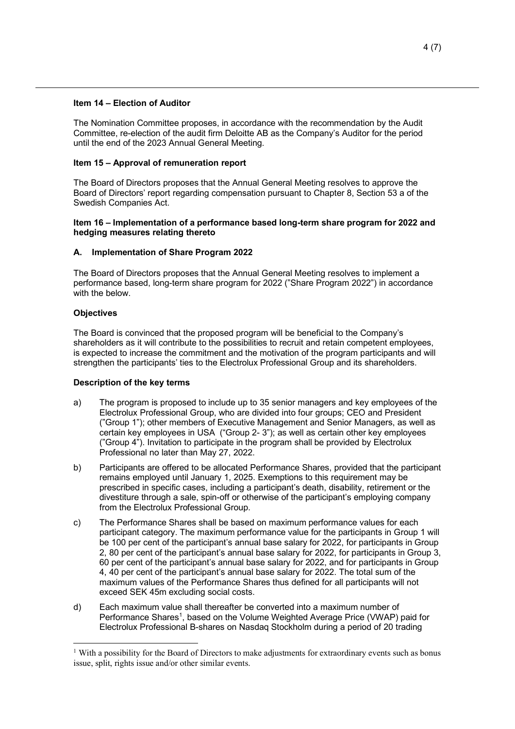## **Item 14 – Election of Auditor**

The Nomination Committee proposes, in accordance with the recommendation by the Audit Committee, re-election of the audit firm Deloitte AB as the Company's Auditor for the period until the end of the 2023 Annual General Meeting.

# **Item 15 – Approval of remuneration report**

The Board of Directors proposes that the Annual General Meeting resolves to approve the Board of Directors' report regarding compensation pursuant to Chapter 8, Section 53 a of the Swedish Companies Act.

## **Item 16 – Implementation of a performance based long-term share program for 2022 and hedging measures relating thereto**

# **A. Implementation of Share Program 2022**

The Board of Directors proposes that the Annual General Meeting resolves to implement a performance based, long-term share program for 2022 ("Share Program 2022") in accordance with the below.

# **Objectives**

The Board is convinced that the proposed program will be beneficial to the Company's shareholders as it will contribute to the possibilities to recruit and retain competent employees, is expected to increase the commitment and the motivation of the program participants and will strengthen the participants' ties to the Electrolux Professional Group and its shareholders.

#### **Description of the key terms**

- a) The program is proposed to include up to 35 senior managers and key employees of the Electrolux Professional Group, who are divided into four groups; CEO and President ("Group 1"); other members of Executive Management and Senior Managers, as well as certain key employees in USA ("Group 2- 3"); as well as certain other key employees ("Group 4"). Invitation to participate in the program shall be provided by Electrolux Professional no later than May 27, 2022.
- b) Participants are offered to be allocated Performance Shares, provided that the participant remains employed until January 1, 2025. Exemptions to this requirement may be prescribed in specific cases, including a participant's death, disability, retirement or the divestiture through a sale, spin-off or otherwise of the participant's employing company from the Electrolux Professional Group.
- c) The Performance Shares shall be based on maximum performance values for each participant category. The maximum performance value for the participants in Group 1 will be 100 per cent of the participant's annual base salary for 2022, for participants in Group 2, 80 per cent of the participant's annual base salary for 2022, for participants in Group 3, 60 per cent of the participant's annual base salary for 2022, and for participants in Group 4, 40 per cent of the participant's annual base salary for 2022. The total sum of the maximum values of the Performance Shares thus defined for all participants will not exceed SEK 45m excluding social costs.
- d) Each maximum value shall thereafter be converted into a maximum number of Performance Shares<sup>[1](#page-3-0)</sup>, based on the Volume Weighted Average Price (VWAP) paid for Electrolux Professional B-shares on Nasdaq Stockholm during a period of 20 trading

<span id="page-3-0"></span><sup>&</sup>lt;sup>1</sup> With a possibility for the Board of Directors to make adjustments for extraordinary events such as bonus issue, split, rights issue and/or other similar events.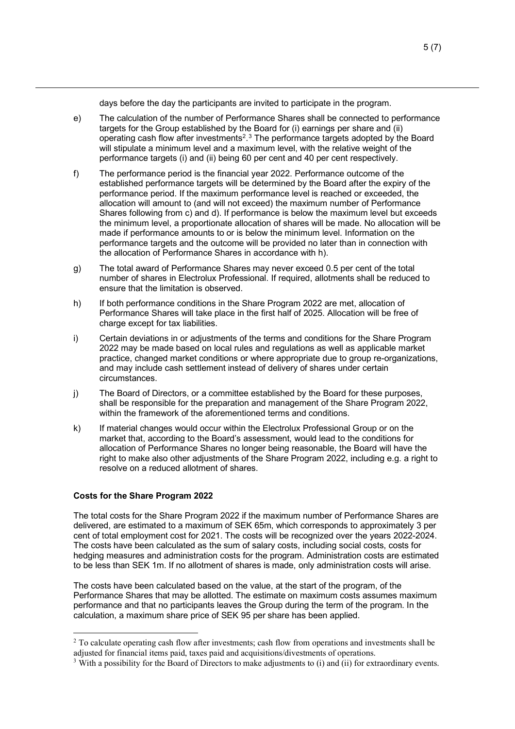days before the day the participants are invited to participate in the program.

- e) The calculation of the number of Performance Shares shall be connected to performance targets for the Group established by the Board for (i) earnings per share and (ii) operating cash flow after investments<sup>[2](#page-4-0), [3](#page-4-1)</sup> The performance targets adopted by the Board will stipulate a minimum level and a maximum level, with the relative weight of the performance targets (i) and (ii) being 60 per cent and 40 per cent respectively.
- f) The performance period is the financial year 2022. Performance outcome of the established performance targets will be determined by the Board after the expiry of the performance period. If the maximum performance level is reached or exceeded, the allocation will amount to (and will not exceed) the maximum number of Performance Shares following from c) and d). If performance is below the maximum level but exceeds the minimum level, a proportionate allocation of shares will be made. No allocation will be made if performance amounts to or is below the minimum level. Information on the performance targets and the outcome will be provided no later than in connection with the allocation of Performance Shares in accordance with h).
- g) The total award of Performance Shares may never exceed 0.5 per cent of the total number of shares in Electrolux Professional. If required, allotments shall be reduced to ensure that the limitation is observed.
- h) If both performance conditions in the Share Program 2022 are met, allocation of Performance Shares will take place in the first half of 2025. Allocation will be free of charge except for tax liabilities.
- i) Certain deviations in or adjustments of the terms and conditions for the Share Program 2022 may be made based on local rules and regulations as well as applicable market practice, changed market conditions or where appropriate due to group re-organizations, and may include cash settlement instead of delivery of shares under certain circumstances.
- j) The Board of Directors, or a committee established by the Board for these purposes, shall be responsible for the preparation and management of the Share Program 2022, within the framework of the aforementioned terms and conditions.
- k) If material changes would occur within the Electrolux Professional Group or on the market that, according to the Board's assessment, would lead to the conditions for allocation of Performance Shares no longer being reasonable, the Board will have the right to make also other adjustments of the Share Program 2022, including e.g. a right to resolve on a reduced allotment of shares.

# **Costs for the Share Program 2022**

The total costs for the Share Program 2022 if the maximum number of Performance Shares are delivered, are estimated to a maximum of SEK 65m, which corresponds to approximately 3 per cent of total employment cost for 2021. The costs will be recognized over the years 2022-2024. The costs have been calculated as the sum of salary costs, including social costs, costs for hedging measures and administration costs for the program. Administration costs are estimated to be less than SEK 1m. If no allotment of shares is made, only administration costs will arise.

The costs have been calculated based on the value, at the start of the program, of the Performance Shares that may be allotted. The estimate on maximum costs assumes maximum performance and that no participants leaves the Group during the term of the program. In the calculation, a maximum share price of SEK 95 per share has been applied.

<span id="page-4-0"></span><sup>&</sup>lt;sup>2</sup> To calculate operating cash flow after investments; cash flow from operations and investments shall be adjusted for financial items paid, taxes paid and acquisitions/divestments of operations.

<span id="page-4-1"></span> $3$  With a possibility for the Board of Directors to make adjustments to (i) and (ii) for extraordinary events.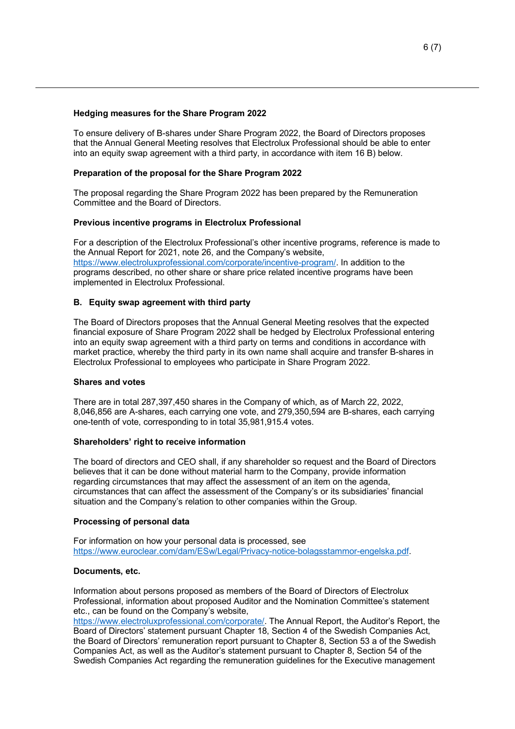## **Hedging measures for the Share Program 2022**

To ensure delivery of B-shares under Share Program 2022, the Board of Directors proposes that the Annual General Meeting resolves that Electrolux Professional should be able to enter into an equity swap agreement with a third party, in accordance with item 16 B) below.

# **Preparation of the proposal for the Share Program 2022**

The proposal regarding the Share Program 2022 has been prepared by the Remuneration Committee and the Board of Directors.

# **Previous incentive programs in Electrolux Professional**

For a description of the Electrolux Professional's other incentive programs, reference is made to the Annual Report for 2021, note 26, and the Company's website, [https://www.electroluxprofessional.com/corporate/incentive-program/.](https://www.electroluxprofessional.com/corporate/incentive-program/) In addition to the programs described, no other share or share price related incentive programs have been implemented in Electrolux Professional.

# **B. Equity swap agreement with third party**

The Board of Directors proposes that the Annual General Meeting resolves that the expected financial exposure of Share Program 2022 shall be hedged by Electrolux Professional entering into an equity swap agreement with a third party on terms and conditions in accordance with market practice, whereby the third party in its own name shall acquire and transfer B-shares in Electrolux Professional to employees who participate in Share Program 2022.

#### **Shares and votes**

There are in total 287,397,450 shares in the Company of which, as of March 22, 2022, 8,046,856 are A-shares, each carrying one vote, and 279,350,594 are B-shares, each carrying one-tenth of vote, corresponding to in total 35,981,915.4 votes.

#### **Shareholders' right to receive information**

The board of directors and CEO shall, if any shareholder so request and the Board of Directors believes that it can be done without material harm to the Company, provide information regarding circumstances that may affect the assessment of an item on the agenda, circumstances that can affect the assessment of the Company's or its subsidiaries' financial situation and the Company's relation to other companies within the Group.

#### **Processing of personal data**

For information on how your personal data is processed, see [https://www.euroclear.com/dam/ESw/Legal/Privacy-notice-bolagsstammor-engelska.pdf.](https://www.euroclear.com/dam/ESw/Legal/Privacy-notice-bolagsstammor-engelska.pdf)

#### **Documents, etc.**

Information about persons proposed as members of the Board of Directors of Electrolux Professional, information about proposed Auditor and the Nomination Committee's statement etc., can be found on the Company's website,

[https://www.electroluxprofessional.com/corporate/.](https://www.electroluxprofessional.com/corporate/) The Annual Report, the Auditor's Report, the Board of Directors' statement pursuant Chapter 18, Section 4 of the Swedish Companies Act, the Board of Directors' remuneration report pursuant to Chapter 8, Section 53 a of the Swedish Companies Act, as well as the Auditor's statement pursuant to Chapter 8, Section 54 of the Swedish Companies Act regarding the remuneration guidelines for the Executive management